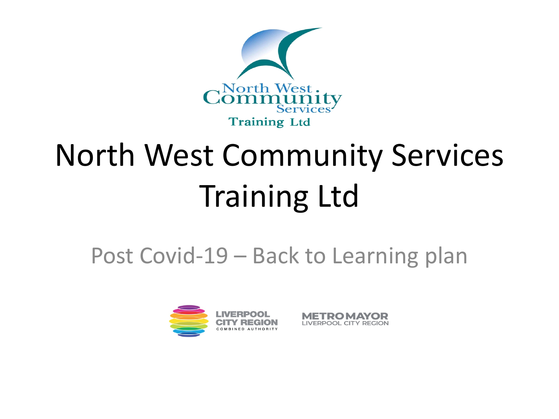

# North West Community Services Training Ltd

#### Post Covid-19 – Back to Learning plan



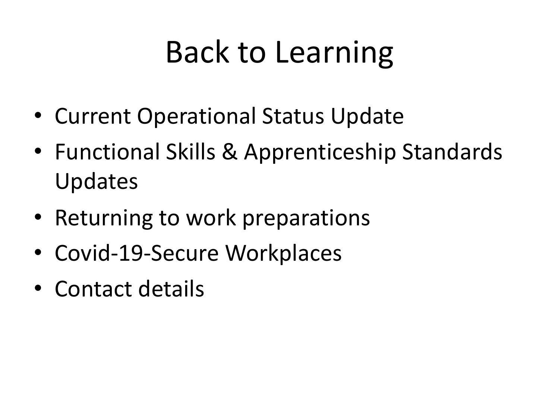## Back to Learning

- Current Operational Status Update
- Functional Skills & Apprenticeship Standards Updates
- Returning to work preparations
- Covid-19-Secure Workplaces
- Contact details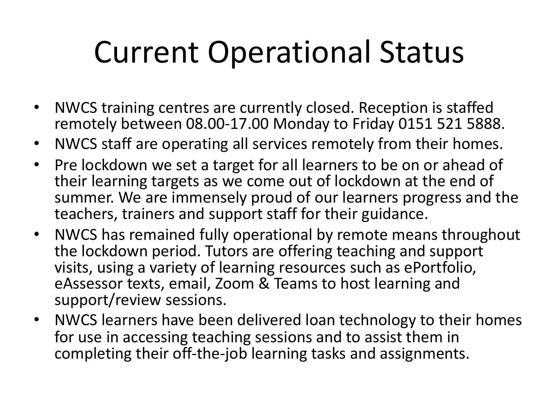## Current Operational Status

- NWCS training centres are currently closed. Reception is staffed remotely between 08.00-17.00 Monday to Friday 0151 521 5888.
- NWCS staff are operating all services remotely from their homes.
- Pre lockdown we set a target for all learners to be on or ahead of their learning targets as we come out of lockdown at the end of summer. We are immensely proud of our learners progress and the teachers, trainers and support staff for their guidance.
- NWCS has remained fully operational by remote means throughout the lockdown period. Tutors are offering teaching and support visits, using a variety of learning resources such as ePortfolio, eAssessor texts, email, Zoom & Teams to host learning and support/review sessions.
- NWCS learners have been delivered loan technology to their homes for use in accessing teaching sessions and to assist them in completing their off-the-job learning tasks and assignments.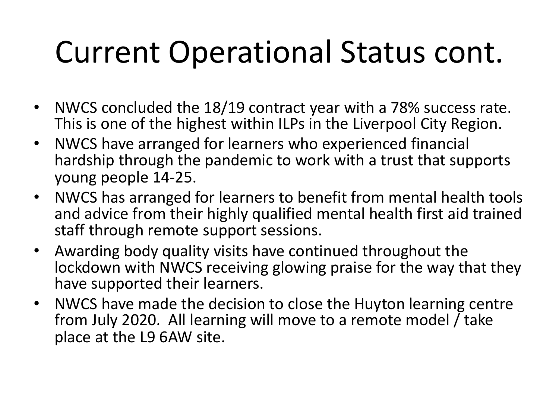## Current Operational Status cont.

- NWCS concluded the 18/19 contract year with a 78% success rate. This is one of the highest within ILPs in the Liverpool City Region.
- NWCS have arranged for learners who experienced financial hardship through the pandemic to work with a trust that supports young people 14-25.
- NWCS has arranged for learners to benefit from mental health tools and advice from their highly qualified mental health first aid trained staff through remote support sessions.
- Awarding body quality visits have continued throughout the lockdown with NWCS receiving glowing praise for the way that they have supported their learners.
- NWCS have made the decision to close the Huyton learning centre from July 2020. All learning will move to a remote model / take place at the L9 6AW site.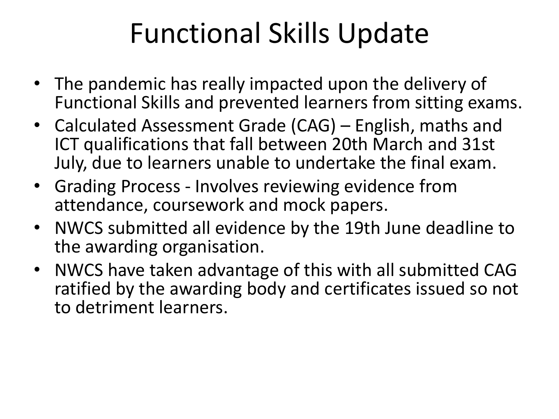### Functional Skills Update

- The pandemic has really impacted upon the delivery of Functional Skills and prevented learners from sitting exams.
- Calculated Assessment Grade (CAG) English, maths and ICT qualifications that fall between 20th March and 31st July, due to learners unable to undertake the final exam.
- Grading Process Involves reviewing evidence from attendance, coursework and mock papers.
- NWCS submitted all evidence by the 19th June deadline to the awarding organisation.
- NWCS have taken advantage of this with all submitted CAG ratified by the awarding body and certificates issued so not to detriment learners.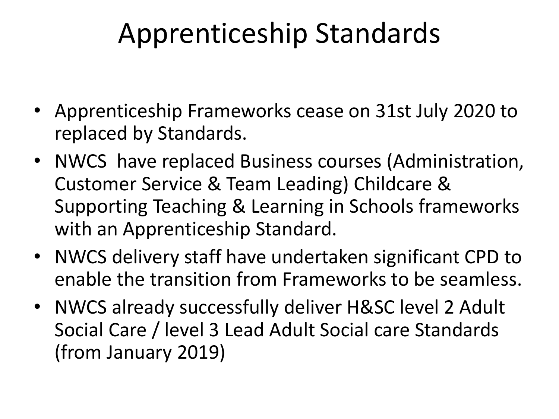#### Apprenticeship Standards

- Apprenticeship Frameworks cease on 31st July 2020 to replaced by Standards.
- NWCS have replaced Business courses (Administration, Customer Service & Team Leading) Childcare & Supporting Teaching & Learning in Schools frameworks with an Apprenticeship Standard.
- NWCS delivery staff have undertaken significant CPD to enable the transition from Frameworks to be seamless.
- NWCS already successfully deliver H&SC level 2 Adult Social Care / level 3 Lead Adult Social care Standards (from January 2019)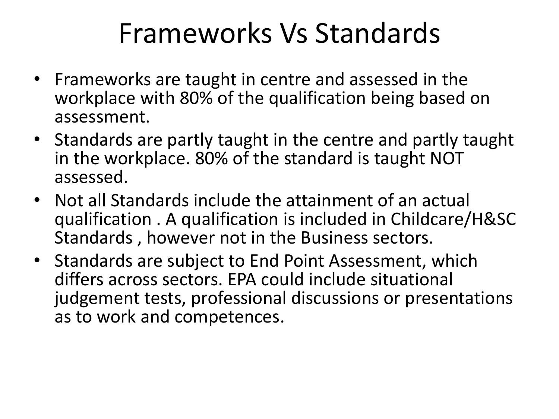#### Frameworks Vs Standards

- Frameworks are taught in centre and assessed in the workplace with 80% of the qualification being based on assessment.
- Standards are partly taught in the centre and partly taught in the workplace. 80% of the standard is taught NOT assessed.
- Not all Standards include the attainment of an actual qualification . A qualification is included in Childcare/H&SC Standards , however not in the Business sectors.
- Standards are subject to End Point Assessment, which differs across sectors. EPA could include situational judgement tests, professional discussions or presentations as to work and competences.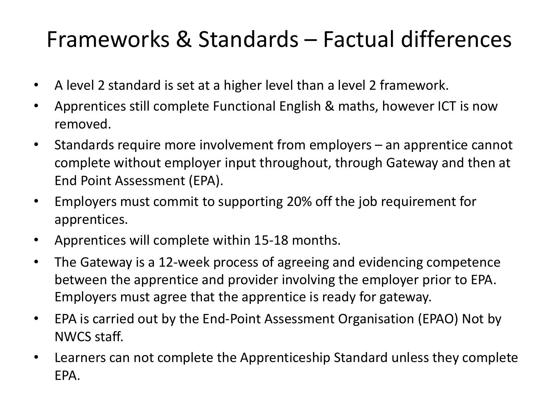#### Frameworks & Standards – Factual differences

- A level 2 standard is set at a higher level than a level 2 framework.
- Apprentices still complete Functional English & maths, however ICT is now removed.
- Standards require more involvement from employers an apprentice cannot complete without employer input throughout, through Gateway and then at End Point Assessment (EPA).
- Employers must commit to supporting 20% off the job requirement for apprentices.
- Apprentices will complete within 15-18 months.
- The Gateway is a 12-week process of agreeing and evidencing competence between the apprentice and provider involving the employer prior to EPA. Employers must agree that the apprentice is ready for gateway.
- EPA is carried out by the End-Point Assessment Organisation (EPAO) Not by NWCS staff.
- Learners can not complete the Apprenticeship Standard unless they complete EPA.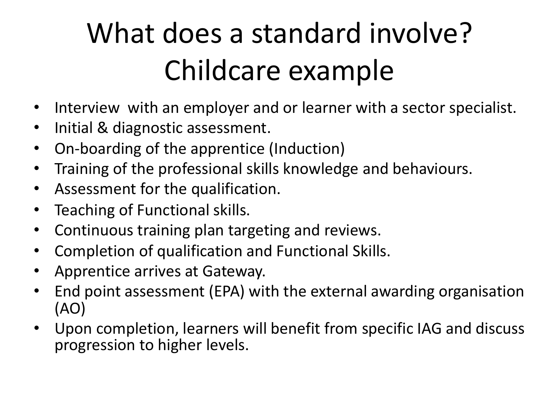## What does a standard involve? Childcare example

- Interview with an employer and or learner with a sector specialist.
- Initial & diagnostic assessment.
- On-boarding of the apprentice (Induction)
- Training of the professional skills knowledge and behaviours.
- Assessment for the qualification.
- Teaching of Functional skills.
- Continuous training plan targeting and reviews.
- Completion of qualification and Functional Skills.
- Apprentice arrives at Gateway.
- End point assessment (EPA) with the external awarding organisation (AO)
- Upon completion, learners will benefit from specific IAG and discuss progression to higher levels.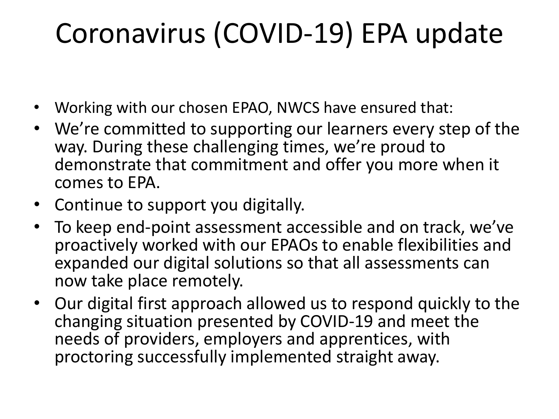### Coronavirus (COVID-19) EPA update

- Working with our chosen EPAO, NWCS have ensured that:
- We're committed to supporting our learners every step of the way. During these challenging times, we're proud to demonstrate that commitment and offer you more when it comes to EPA.
- Continue to support you digitally.
- To keep end-point assessment accessible and on track, we've proactively worked with our EPAOs to enable flexibilities and expanded our digital solutions so that all assessments can now take place remotely.
- Our digital first approach allowed us to respond quickly to the changing situation presented by COVID-19 and meet the needs of providers, employers and apprentices, with proctoring successfully implemented straight away.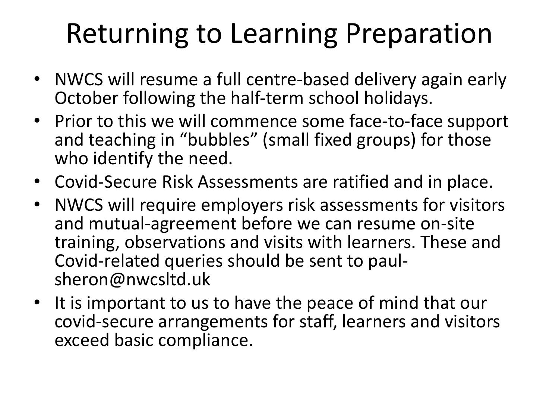### Returning to Learning Preparation

- NWCS will resume a full centre-based delivery again early October following the half-term school holidays.
- Prior to this we will commence some face-to-face support and teaching in "bubbles" (small fixed groups) for those who identify the need.
- Covid-Secure Risk Assessments are ratified and in place.
- NWCS will require employers risk assessments for visitors and mutual-agreement before we can resume on-site training, observations and visits with learners. These and Covid-related queries should be sent to paul- sheron@nwcsltd.uk
- It is important to us to have the peace of mind that our covid-secure arrangements for staff, learners and visitors exceed basic compliance.